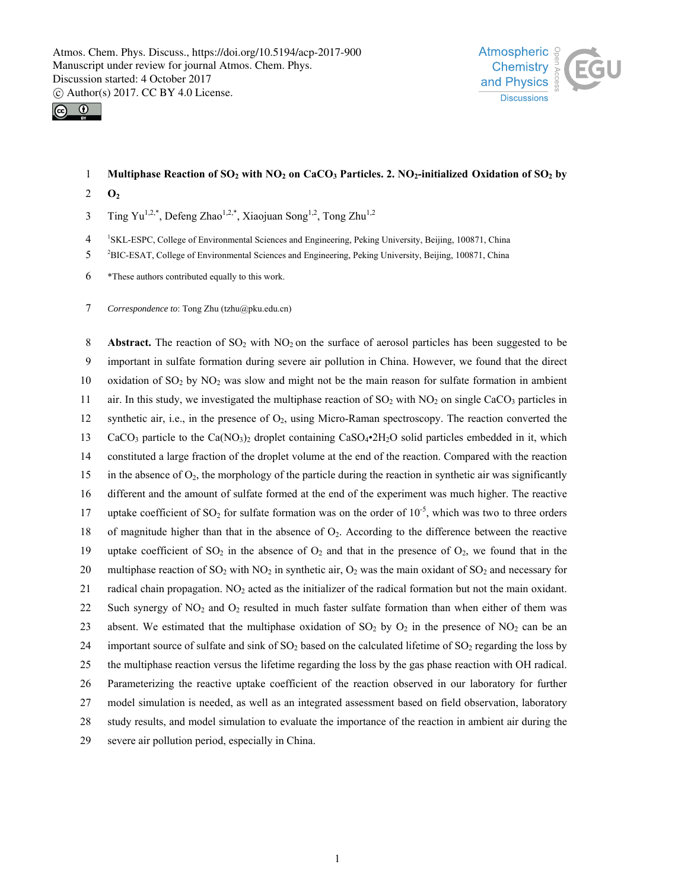



## 1 **Multiphase Reaction of SO<sub>2</sub> with NO<sub>2</sub> on CaCO<sub>3</sub> Particles. 2. NO<sub>2</sub>-initialized Oxidation of SO<sub>2</sub> by**

- 2 **O2**
- $\frac{3}{2}$  Ting Yu<sup>1,2,\*</sup>, Defeng Zhao<sup>1,2,\*</sup>, Xiaojuan Song<sup>1,2</sup>, Tong Zhu<sup>1,2</sup>

<sup>1</sup> 4 SKL-ESPC, College of Environmental Sciences and Engineering, Peking University, Beijing, 100871, China

- <sup>2</sup> 5 BIC-ESAT, College of Environmental Sciences and Engineering, Peking University, Beijing, 100871, China
- 6 \*These authors contributed equally to this work.
- 7 *Correspondence to*: Tong Zhu (tzhu@pku.edu.cn)

8 **Abstract.** The reaction of SO<sub>2</sub> with NO<sub>2</sub> on the surface of aerosol particles has been suggested to be 9 important in sulfate formation during severe air pollution in China. However, we found that the direct 10 oxidation of  $SO_2$  by  $NO_2$  was slow and might not be the main reason for sulfate formation in ambient 11 air. In this study, we investigated the multiphase reaction of  $SO_2$  with  $NO_2$  on single CaCO<sub>3</sub> particles in 12 synthetic air, i.e., in the presence of  $O_2$ , using Micro-Raman spectroscopy. The reaction converted the 13 CaCO<sub>3</sub> particle to the Ca(NO<sub>3</sub>)<sub>2</sub> droplet containing CaSO<sub>4</sub> $\cdot$ 2H<sub>2</sub>O solid particles embedded in it, which 14 constituted a large fraction of the droplet volume at the end of the reaction. Compared with the reaction 15 in the absence of O2, the morphology of the particle during the reaction in synthetic air was significantly 16 different and the amount of sulfate formed at the end of the experiment was much higher. The reactive 17 uptake coefficient of  $SO_2$  for sulfate formation was on the order of  $10^{-5}$ , which was two to three orders 18 of magnitude higher than that in the absence of O2. According to the difference between the reactive 19 uptake coefficient of  $SO_2$  in the absence of  $O_2$  and that in the presence of  $O_2$ , we found that in the 20 multiphase reaction of  $SO_2$  with  $NO_2$  in synthetic air,  $O_2$  was the main oxidant of  $SO_2$  and necessary for 21 radical chain propagation. NO2 acted as the initializer of the radical formation but not the main oxidant. 22 Such synergy of  $NO_2$  and  $O_2$  resulted in much faster sulfate formation than when either of them was 23 absent. We estimated that the multiphase oxidation of  $SO_2$  by  $O_2$  in the presence of  $NO_2$  can be an 24 important source of sulfate and sink of  $SO_2$  based on the calculated lifetime of  $SO_2$  regarding the loss by 25 the multiphase reaction versus the lifetime regarding the loss by the gas phase reaction with OH radical. 26 Parameterizing the reactive uptake coefficient of the reaction observed in our laboratory for further 27 model simulation is needed, as well as an integrated assessment based on field observation, laboratory 28 study results, and model simulation to evaluate the importance of the reaction in ambient air during the 29 severe air pollution period, especially in China.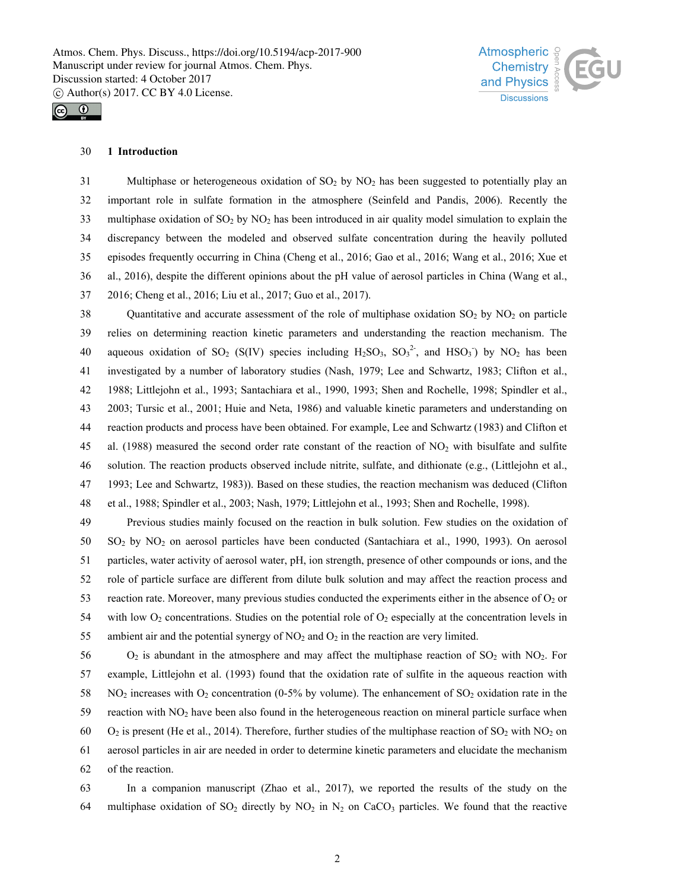

# $\odot$

## 30 **1 Introduction**

31 Multiphase or heterogeneous oxidation of  $SO<sub>2</sub>$  by NO<sub>2</sub> has been suggested to potentially play an 32 important role in sulfate formation in the atmosphere (Seinfeld and Pandis, 2006). Recently the 33 multiphase oxidation of  $SO_2$  by  $NO_2$  has been introduced in air quality model simulation to explain the 34 discrepancy between the modeled and observed sulfate concentration during the heavily polluted 35 episodes frequently occurring in China (Cheng et al., 2016; Gao et al., 2016; Wang et al., 2016; Xue et 36 al., 2016), despite the different opinions about the pH value of aerosol particles in China (Wang et al.,

37 2016; Cheng et al., 2016; Liu et al., 2017; Guo et al., 2017).

38 Quantitative and accurate assessment of the role of multiphase oxidation  $SO_2$  by  $NO_2$  on particle 39 relies on determining reaction kinetic parameters and understanding the reaction mechanism. The 40 aqueous oxidation of SO<sub>2</sub> (S(IV) species including  $H_2SO_3$ ,  $SO_3^2$ <sup>2</sup>, and HSO<sub>3</sub><sup>5</sup>) by NO<sub>2</sub> has been 41 investigated by a number of laboratory studies (Nash, 1979; Lee and Schwartz, 1983; Clifton et al., 42 1988; Littlejohn et al., 1993; Santachiara et al., 1990, 1993; Shen and Rochelle, 1998; Spindler et al., 43 2003; Tursic et al., 2001; Huie and Neta, 1986) and valuable kinetic parameters and understanding on 44 reaction products and process have been obtained. For example, Lee and Schwartz (1983) and Clifton et 45 al. (1988) measured the second order rate constant of the reaction of  $NO<sub>2</sub>$  with bisulfate and sulfite 46 solution. The reaction products observed include nitrite, sulfate, and dithionate (e.g., (Littlejohn et al., 47 1993; Lee and Schwartz, 1983)). Based on these studies, the reaction mechanism was deduced (Clifton 48 et al., 1988; Spindler et al., 2003; Nash, 1979; Littlejohn et al., 1993; Shen and Rochelle, 1998).

49 Previous studies mainly focused on the reaction in bulk solution. Few studies on the oxidation of 50 SO2 by NO2 on aerosol particles have been conducted (Santachiara et al., 1990, 1993). On aerosol 51 particles, water activity of aerosol water, pH, ion strength, presence of other compounds or ions, and the 52 role of particle surface are different from dilute bulk solution and may affect the reaction process and 53 reaction rate. Moreover, many previous studies conducted the experiments either in the absence of  $O_2$  or 54 with low  $O_2$  concentrations. Studies on the potential role of  $O_2$  especially at the concentration levels in 55 ambient air and the potential synergy of  $NO<sub>2</sub>$  and  $O<sub>2</sub>$  in the reaction are very limited.

56  $O_2$  is abundant in the atmosphere and may affect the multiphase reaction of SO<sub>2</sub> with NO<sub>2</sub>. For 57 example, Littlejohn et al. (1993) found that the oxidation rate of sulfite in the aqueous reaction with 58 NO<sub>2</sub> increases with O<sub>2</sub> concentration (0-5% by volume). The enhancement of SO<sub>2</sub> oxidation rate in the 59 reaction with NO2 have been also found in the heterogeneous reaction on mineral particle surface when 60 O<sub>2</sub> is present (He et al., 2014). Therefore, further studies of the multiphase reaction of SO<sub>2</sub> with NO<sub>2</sub> on 61 aerosol particles in air are needed in order to determine kinetic parameters and elucidate the mechanism 62 of the reaction.

63 In a companion manuscript (Zhao et al., 2017), we reported the results of the study on the 64 multiphase oxidation of  $SO_2$  directly by  $NO_2$  in  $N_2$  on CaCO<sub>3</sub> particles. We found that the reactive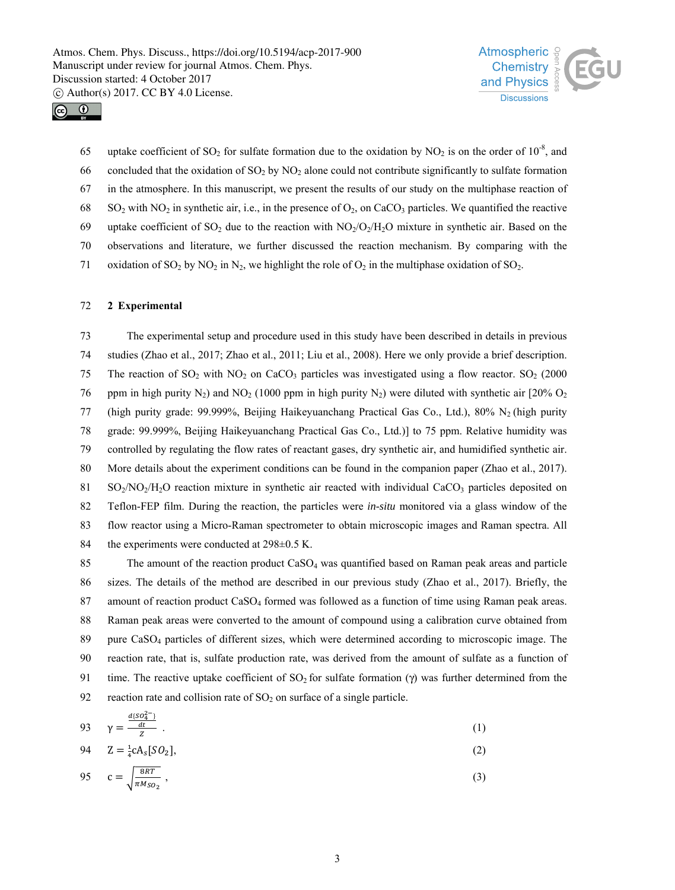



65 uptake coefficient of SO<sub>2</sub> for sulfate formation due to the oxidation by NO<sub>2</sub> is on the order of 10<sup>-8</sup>, and 66 concluded that the oxidation of  $SO_2$  by  $NO_2$  alone could not contribute significantly to sulfate formation 67 in the atmosphere. In this manuscript, we present the results of our study on the multiphase reaction of 68 SO<sub>2</sub> with NO<sub>2</sub> in synthetic air, i.e., in the presence of O<sub>2</sub>, on CaCO<sub>3</sub> particles. We quantified the reactive 69 uptake coefficient of SO<sub>2</sub> due to the reaction with  $NO<sub>2</sub>/O<sub>2</sub>/H<sub>2</sub>O$  mixture in synthetic air. Based on the 70 observations and literature, we further discussed the reaction mechanism. By comparing with the 71 oxidation of SO<sub>2</sub> by NO<sub>2</sub> in N<sub>2</sub>, we highlight the role of O<sub>2</sub> in the multiphase oxidation of SO<sub>2</sub>.

#### 72 **2 Experimental**

73 The experimental setup and procedure used in this study have been described in details in previous 74 studies (Zhao et al., 2017; Zhao et al., 2011; Liu et al., 2008). Here we only provide a brief description. 75 The reaction of  $SO_2$  with  $NO_2$  on  $CaCO_3$  particles was investigated using a flow reactor.  $SO_2$  (2000) 76 ppm in high purity N<sub>2</sub>) and NO<sub>2</sub> (1000 ppm in high purity N<sub>2</sub>) were diluted with synthetic air [20% O<sub>2</sub> 77 (high purity grade: 99.999%, Beijing Haikeyuanchang Practical Gas Co., Ltd.), 80% N2 (high purity 78 grade: 99.999%, Beijing Haikeyuanchang Practical Gas Co., Ltd.)] to 75 ppm. Relative humidity was 79 controlled by regulating the flow rates of reactant gases, dry synthetic air, and humidified synthetic air. 80 More details about the experiment conditions can be found in the companion paper (Zhao et al., 2017). 81 SO<sub>2</sub>/NO<sub>2</sub>/H<sub>2</sub>O reaction mixture in synthetic air reacted with individual CaCO<sub>3</sub> particles deposited on 82 Teflon-FEP film. During the reaction, the particles were *in-situ* monitored via a glass window of the 83 flow reactor using a Micro-Raman spectrometer to obtain microscopic images and Raman spectra. All 84 the experiments were conducted at 298 $\pm$ 0.5 K.

85 The amount of the reaction product CaSO<sub>4</sub> was quantified based on Raman peak areas and particle 86 sizes. The details of the method are described in our previous study (Zhao et al., 2017). Briefly, the 87 amount of reaction product CaSO<sub>4</sub> formed was followed as a function of time using Raman peak areas. 88 Raman peak areas were converted to the amount of compound using a calibration curve obtained from 89 pure CaSO4 particles of different sizes, which were determined according to microscopic image. The 90 reaction rate, that is, sulfate production rate, was derived from the amount of sulfate as a function of 91 time. The reactive uptake coefficient of  $SO_2$  for sulfate formation (γ) was further determined from the 92 reaction rate and collision rate of  $SO<sub>2</sub>$  on surface of a single particle.

$$
93 \qquad \gamma = \frac{\frac{d(SO_4^{2-})}{dt}}{Z} \tag{1}
$$

$$
94 \t Z = \frac{1}{4}cA_s[SO_2],
$$
 (2)

$$
95 \quad c = \sqrt{\frac{8RT}{\pi M_{SO_2}}},\tag{3}
$$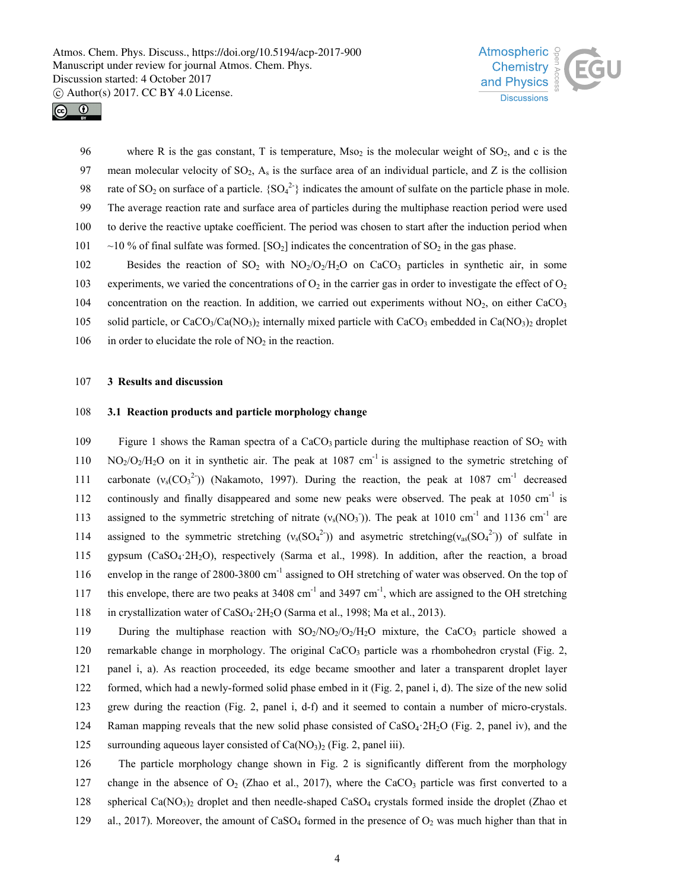



96 where R is the gas constant, T is temperature,  $Mso<sub>2</sub>$  is the molecular weight of SO<sub>2</sub>, and c is the 97 mean molecular velocity of  $SO_2$ ,  $A_s$  is the surface area of an individual particle, and Z is the collision 98 rate of SO<sub>2</sub> on surface of a particle.  ${SO_4}^{2-}$  indicates the amount of sulfate on the particle phase in mole. 99 The average reaction rate and surface area of particles during the multiphase reaction period were used 100 to derive the reactive uptake coefficient. The period was chosen to start after the induction period when 101  $\sim$  10 % of final sulfate was formed. [SO<sub>2</sub>] indicates the concentration of SO<sub>2</sub> in the gas phase.

102 Besides the reaction of SO<sub>2</sub> with NO<sub>2</sub>/O<sub>2</sub>/H<sub>2</sub>O on CaCO<sub>3</sub> particles in synthetic air, in some

103 experiments, we varied the concentrations of  $O_2$  in the carrier gas in order to investigate the effect of  $O_2$ 104 concentration on the reaction. In addition, we carried out experiments without  $NO<sub>2</sub>$ , on either CaCO<sub>3</sub>

105 solid particle, or  $CaCO<sub>3</sub>/Ca(NO<sub>3</sub>)$ <sub>2</sub> internally mixed particle with CaCO<sub>3</sub> embedded in Ca(NO<sub>3</sub>)<sub>2</sub> droplet

106 in order to elucidate the role of  $NO<sub>2</sub>$  in the reaction.

#### 107 **3 Results and discussion**

## 108 **3.1 Reaction products and particle morphology change**

109 Figure 1 shows the Raman spectra of a CaCO<sub>3</sub> particle during the multiphase reaction of SO<sub>2</sub> with  $N_{\rm O}/O_2/H_2$ O on it in synthetic air. The peak at 1087 cm<sup>-1</sup> is assigned to the symetric stretching of 111 carbonate  $(v_s(CO_3^2))$  (Nakamoto, 1997). During the reaction, the peak at 1087 cm<sup>-1</sup> decreased 112 continously and finally disappeared and some new peaks were observed. The peak at  $1050 \text{ cm}^{-1}$  is 113 assigned to the symmetric stretching of nitrate  $(v_s(NO_3))$ . The peak at 1010 cm<sup>-1</sup> and 1136 cm<sup>-1</sup> are 114 assigned to the symmetric stretching  $(v_s(SO_4^2))$  and asymetric stretching  $(v_{as}(SO_4^2))$  of sulfate in 115 gypsum (CaSO4·2H2O), respectively (Sarma et al., 1998). In addition, after the reaction, a broad 116 envelop in the range of 2800-3800 cm<sup>-1</sup> assigned to OH stretching of water was observed. On the top of 117 this envelope, there are two peaks at  $3408 \text{ cm}^{-1}$  and  $3497 \text{ cm}^{-1}$ , which are assigned to the OH stretching 118 in crystallization water of CaSO4·2H2O (Sarma et al., 1998; Ma et al., 2013). 119 During the multiphase reaction with  $SO_2/NO_2/O_2/H_2O$  mixture, the CaCO<sub>3</sub> particle showed a 120 remarkable change in morphology. The original CaCO<sub>3</sub> particle was a rhombohedron crystal (Fig. 2,

121 panel i, a). As reaction proceeded, its edge became smoother and later a transparent droplet layer

122 formed, which had a newly-formed solid phase embed in it (Fig. 2, panel i, d). The size of the new solid

123 grew during the reaction (Fig. 2, panel i, d-f) and it seemed to contain a number of micro-crystals.

124 Raman mapping reveals that the new solid phase consisted of CaSO4·2H2O (Fig. 2, panel iv), and the

125 surrounding aqueous layer consisted of  $Ca(NO<sub>3</sub>)<sub>2</sub>$  (Fig. 2, panel iii).

126 The particle morphology change shown in Fig. 2 is significantly different from the morphology 127 change in the absence of  $O_2$  (Zhao et al., 2017), where the CaCO<sub>3</sub> particle was first converted to a 128 spherical Ca(NO<sub>3</sub>)<sub>2</sub> droplet and then needle-shaped CaSO<sub>4</sub> crystals formed inside the droplet (Zhao et 129 al., 2017). Moreover, the amount of CaSO<sub>4</sub> formed in the presence of  $O_2$  was much higher than that in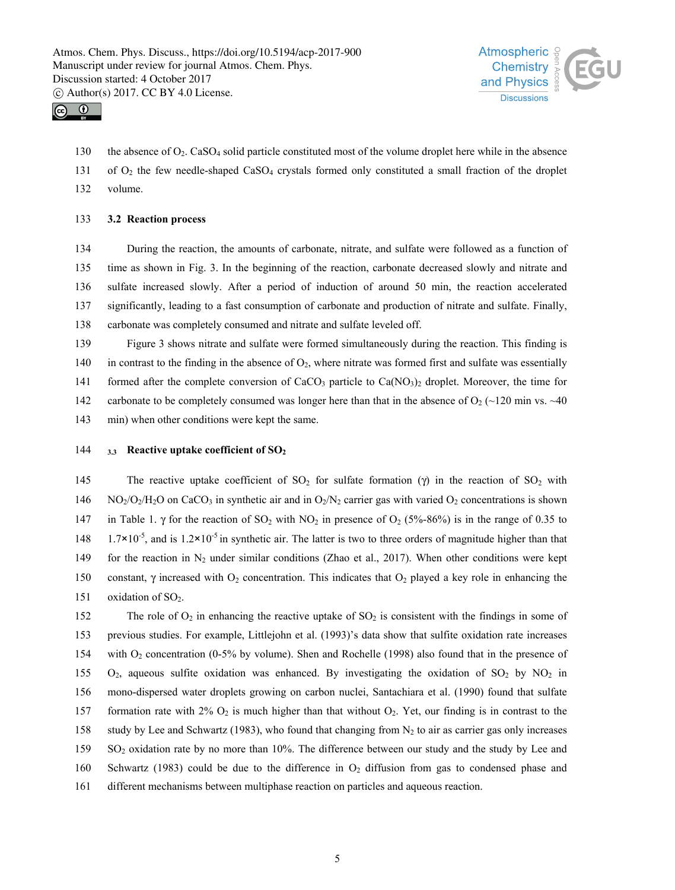



130 the absence of O2. CaSO4 solid particle constituted most of the volume droplet here while in the absence

131 of O2 the few needle-shaped CaSO4 crystals formed only constituted a small fraction of the droplet

132 volume.

## 133 **3.2 Reaction process**

134 During the reaction, the amounts of carbonate, nitrate, and sulfate were followed as a function of 135 time as shown in Fig. 3. In the beginning of the reaction, carbonate decreased slowly and nitrate and 136 sulfate increased slowly. After a period of induction of around 50 min, the reaction accelerated 137 significantly, leading to a fast consumption of carbonate and production of nitrate and sulfate. Finally, 138 carbonate was completely consumed and nitrate and sulfate leveled off.

139 Figure 3 shows nitrate and sulfate were formed simultaneously during the reaction. This finding is 140 in contrast to the finding in the absence of  $O_2$ , where nitrate was formed first and sulfate was essentially 141 formed after the complete conversion of  $CaCO<sub>3</sub>$  particle to  $Ca(NO<sub>3</sub>)<sub>2</sub>$  droplet. Moreover, the time for 142 carbonate to be completely consumed was longer here than that in the absence of  $O_2$  (~120 min vs. ~40 143 min) when other conditions were kept the same.

## 144 **3.3 Reactive uptake coefficient of SO2**

145 The reactive uptake coefficient of SO<sub>2</sub> for sulfate formation (γ) in the reaction of SO<sub>2</sub> with 146 NO<sub>2</sub>/O<sub>2</sub>/H<sub>2</sub>O on CaCO<sub>3</sub> in synthetic air and in O<sub>2</sub>/N<sub>2</sub> carrier gas with varied O<sub>2</sub> concentrations is shown 147 in Table 1. γ for the reaction of SO<sub>2</sub> with NO<sub>2</sub> in presence of O<sub>2</sub> (5%-86%) is in the range of 0.35 to 1.7×10<sup>-5</sup>, and is 1.2×10<sup>-5</sup> in synthetic air. The latter is two to three orders of magnitude higher than that 149 for the reaction in  $N_2$  under similar conditions (Zhao et al., 2017). When other conditions were kept 150 constant, γ increased with O<sub>2</sub> concentration. This indicates that O<sub>2</sub> played a key role in enhancing the 151 oxidation of  $SO_2$ .

152 The role of  $O_2$  in enhancing the reactive uptake of  $SO_2$  is consistent with the findings in some of 153 previous studies. For example, Littlejohn et al. (1993)'s data show that sulfite oxidation rate increases 154 with O<sub>2</sub> concentration (0-5% by volume). Shen and Rochelle (1998) also found that in the presence of 155  $O_2$ , aqueous sulfite oxidation was enhanced. By investigating the oxidation of SO<sub>2</sub> by NO<sub>2</sub> in 156 mono-dispersed water droplets growing on carbon nuclei, Santachiara et al. (1990) found that sulfate 157 formation rate with 2%  $O_2$  is much higher than that without  $O_2$ . Yet, our finding is in contrast to the 158 study by Lee and Schwartz (1983), who found that changing from  $N_2$  to air as carrier gas only increases 159 SO2 oxidation rate by no more than 10%. The difference between our study and the study by Lee and 160 Schwartz (1983) could be due to the difference in  $O<sub>2</sub>$  diffusion from gas to condensed phase and 161 different mechanisms between multiphase reaction on particles and aqueous reaction.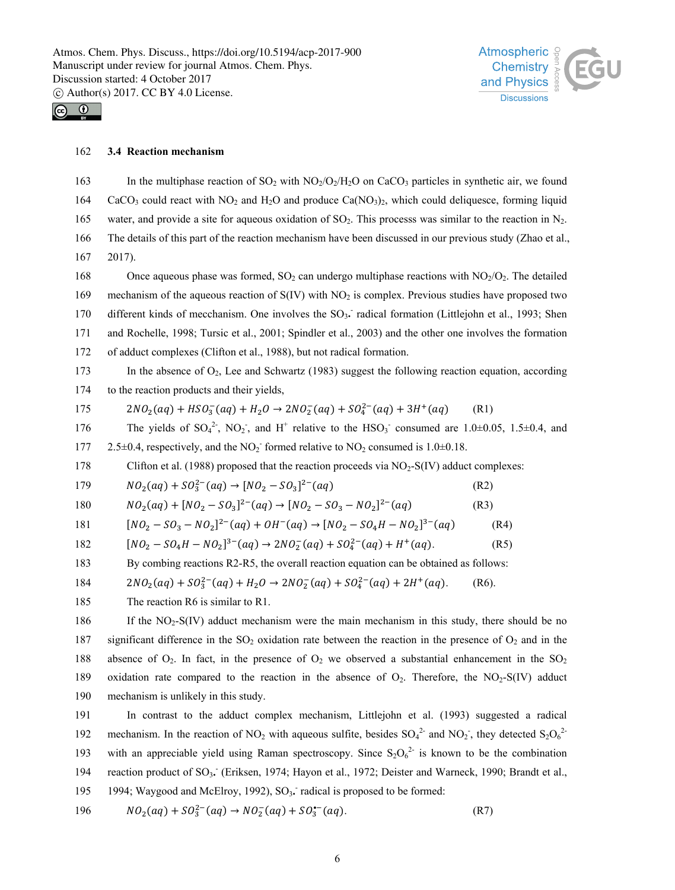



#### 162 **3.4 Reaction mechanism**

163 In the multiphase reaction of SO<sub>2</sub> with NO<sub>2</sub>/O<sub>2</sub>/H<sub>2</sub>O on CaCO<sub>3</sub> particles in synthetic air, we found 164 CaCO<sub>3</sub> could react with NO<sub>2</sub> and H<sub>2</sub>O and produce Ca(NO<sub>3</sub>)<sub>2</sub>, which could deliquesce, forming liquid 165 water, and provide a site for aqueous oxidation of  $SO_2$ . This processs was similar to the reaction in N<sub>2</sub>. 166 The details of this part of the reaction mechanism have been discussed in our previous study (Zhao et al., 167 2017). 168 Once aqueous phase was formed,  $SO_2$  can undergo multiphase reactions with  $NO_2/O_2$ . The detailed 169 mechanism of the aqueous reaction of S(IV) with NO<sub>2</sub> is complex. Previous studies have proposed two 170 different kinds of mecchanism. One involves the SO<sub>3</sub>. radical formation (Littlejohn et al., 1993; Shen 171 and Rochelle, 1998; Tursic et al., 2001; Spindler et al., 2003) and the other one involves the formation 172 of adduct complexes (Clifton et al., 1988), but not radical formation. 173 In the absence of  $O_2$ , Lee and Schwartz (1983) suggest the following reaction equation, according 174 to the reaction products and their yields,  $175$   $2NO_2(aq) + HSO_3^-(aq) + H_2O \rightarrow 2NO_2^-(aq) + SO_4^{2-}(aq) + 3H^+(aq)$  (R1) 176 The yields of  $SO_4^2$ ,  $NO_2$ , and H<sup>+</sup> relative to the HSO<sub>3</sub> consumed are 1.0±0.05, 1.5±0.4, and 177 2.5 $\pm$ 0.4, respectively, and the NO<sub>2</sub> formed relative to NO<sub>2</sub> consumed is 1.0 $\pm$ 0.18. 178 Clifton et al. (1988) proposed that the reaction proceeds via NO<sub>2</sub>-S(IV) adduct complexes: 179  $NO_2(aq) + SO_3^{2-}(aq) \rightarrow [NO_2 - SO_3]^{2-}(aq)$  (R2) 180  $NO_2(aq) + [NO_2 - SO_3]^{2-}(aq) \rightarrow [NO_2 - SO_3 - NO_2]^{2-}(aq)$  (R3)  $[NO_2 - SO_3 - NO_2]^2^-(aq) + OH^-(aq) \rightarrow [NO_2 - SO_4H - NO_2]^3^-(aq)$  (R4) 182  $[NO_2 - SO_4H - NO_2]^{3-}(aq) \rightarrow 2NO_2^-(aq) + SO_4^{2-}(aq) + H^+(aq).$  (R5) 183 By combing reactions R2-R5, the overall reaction equation can be obtained as follows: 184  $2NO_2(aq) + SO_3^{2-}(aq) + H_2O \rightarrow 2NO_2^-(aq) + SO_4^{2-}(aq) + 2H^+(aq)$ . (R6). 185 The reaction R6 is similar to R1. 186 If the NO<sub>2</sub>-S(IV) adduct mechanism were the main mechanism in this study, there should be no 187 significant difference in the  $SO_2$  oxidation rate between the reaction in the presence of  $O_2$  and in the 188 absence of  $O_2$ . In fact, in the presence of  $O_2$  we observed a substantial enhancement in the  $SO_2$ 189 oxidation rate compared to the reaction in the absence of  $O_2$ . Therefore, the NO<sub>2</sub>-S(IV) adduct 190 mechanism is unlikely in this study. 191 In contrast to the adduct complex mechanism, Littlejohn et al. (1993) suggested a radical 192 mechanism. In the reaction of NO<sub>2</sub> with aqueous sulfite, besides  $SO_4^2$  and NO<sub>2</sub>, they detected  $S_2O_6^2$ 193 with an appreciable yield using Raman spectroscopy. Since  $S_2O_6^{2}$  is known to be the combination 194 reaction product of SO<sub>3</sub>. (Eriksen, 1974; Hayon et al., 1972; Deister and Warneck, 1990; Brandt et al., 195 1994; Waygood and McElroy, 1992), SO<sub>3</sub>. radical is proposed to be formed:

196 
$$
NO_2(aq) + SO_3^{2-}(aq) \rightarrow NO_2^-(aq) + SO_3^{--}(aq)
$$
. (R7)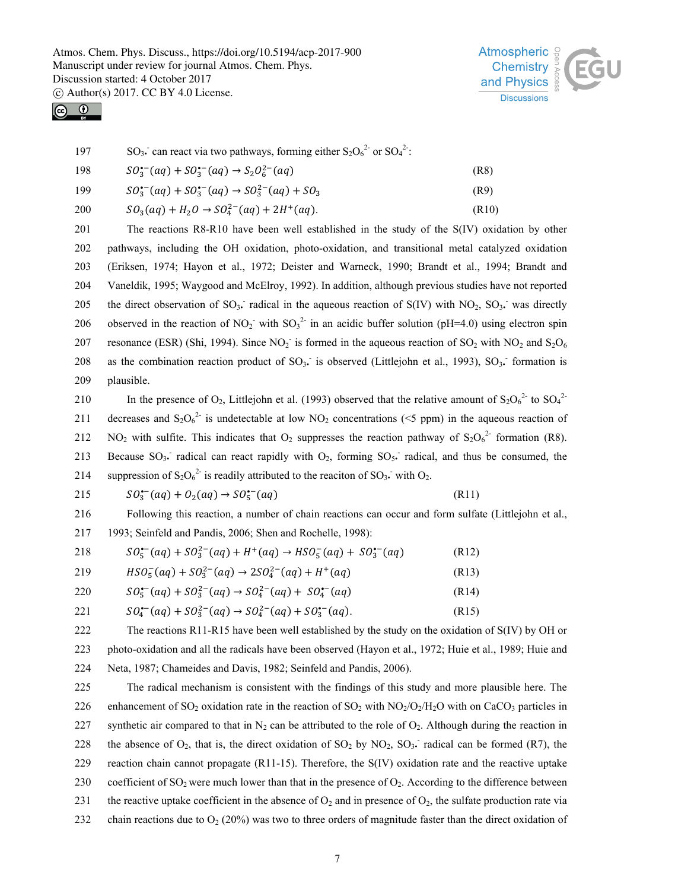



197 SO<sub>3</sub>. can react via two pathways, forming either  $S_2O_6^{2}$  or  $SO_4^{2}$ .

198 
$$
SO_3^{\bullet-}(aq) + SO_3^{\bullet-}(aq) \rightarrow S_2O_6^{2-}(aq)
$$
 (R8)

199 
$$
SO_3^{\bullet-}(aq) + SO_3^{\bullet-}(aq) \rightarrow SO_3^{2-}(aq) + SO_3
$$
 (R9)

$$
200 \t SO3(aq) + H2O \to SO42-(aq) + 2H+(aq).
$$
 (R10)

201 The reactions R8-R10 have been well established in the study of the S(IV) oxidation by other 202 pathways, including the OH oxidation, photo-oxidation, and transitional metal catalyzed oxidation 203 (Eriksen, 1974; Hayon et al., 1972; Deister and Warneck, 1990; Brandt et al., 1994; Brandt and 204 Vaneldik, 1995; Waygood and McElroy, 1992). In addition, although previous studies have not reported 205 the direct observation of SO<sub>3</sub>. radical in the aqueous reaction of S(IV) with NO<sub>2</sub>, SO<sub>3</sub>. was directly 206 observed in the reaction of NO<sub>2</sub> with SO<sub>3</sub><sup>2</sup> in an acidic buffer solution (pH=4.0) using electron spin 207 resonance (ESR) (Shi, 1994). Since  $NO_2^-$  is formed in the aqueous reaction of  $SO_2$  with  $NO_2$  and  $S_2O_6$ 208 as the combination reaction product of SO<sub>3</sub>. is observed (Littlejohn et al., 1993), SO<sub>3</sub>. formation is 209 plausible.

210 In the presence of  $O_2$ , Littlejohn et al. (1993) observed that the relative amount of  $S_2O_6^{2}$  to  $SO_4^{2}$ 211 decreases and  $S_2O_6^{2}$  is undetectable at low NO<sub>2</sub> concentrations (<5 ppm) in the aqueous reaction of 212 NO<sub>2</sub> with sulfite. This indicates that O<sub>2</sub> suppresses the reaction pathway of  $S_2O_6^{2}$  formation (R8). 213 Because  $SO_3$  radical can react rapidly with  $O_2$ , forming  $SO_5$  radical, and thus be consumed, the 214 suppression of  $S_2O_6^{2}$  is readily attributed to the reaciton of SO<sub>3</sub>. with O<sub>2</sub>.

215 
$$
SO_3^{•-}(aq) + O_2(aq) \rightarrow SO_5^{•-}(aq)
$$
 (R11)

216 Following this reaction, a number of chain reactions can occur and form sulfate (Littlejohn et al., 217 1993; Seinfeld and Pandis, 2006; Shen and Rochelle, 1998):

| 218 | $SO_5^{(-)}(aq) + SO_3^{2-}(aq) + H^+(aq) \rightarrow HSO_5^-(aq) + SO_3^{(-)}(aq)$ | (R12) |
|-----|-------------------------------------------------------------------------------------|-------|
| 219 | $HSO_5^-(aq) + SO_3^{2-}(aq) \rightarrow 2SO_4^{2-}(aq) + H^+(aq)$                  | (R13) |
| 220 | $SO_5^{(-)}(aq) + SO_3^{2-}(aq) \rightarrow SO_4^{2-}(aq) + SO_4^{(-)}(aq)$         | (R14) |

221  $SO_4^{\bullet-}(aq) + SO_3^{2-}(aq) \rightarrow SO_4^{2-}(aq) + SO_3^{\bullet-}(aq)$ . (R15)

222 The reactions R11-R15 have been well established by the study on the oxidation of S(IV) by OH or 223 photo-oxidation and all the radicals have been observed (Hayon et al., 1972; Huie et al., 1989; Huie and 224 Neta, 1987; Chameides and Davis, 1982; Seinfeld and Pandis, 2006).

225 The radical mechanism is consistent with the findings of this study and more plausible here. The 226 enhancement of SO<sub>2</sub> oxidation rate in the reaction of SO<sub>2</sub> with NO<sub>2</sub>/O<sub>2</sub>/H<sub>2</sub>O with on CaCO<sub>3</sub> particles in 227 synthetic air compared to that in  $N_2$  can be attributed to the role of  $O_2$ . Although during the reaction in 228 the absence of  $O_2$ , that is, the direct oxidation of  $SO_2$  by  $NO_2$ ,  $SO_3$  radical can be formed (R7), the 229 reaction chain cannot propagate (R11-15). Therefore, the S(IV) oxidation rate and the reactive uptake 230 coefficient of  $SO_2$  were much lower than that in the presence of  $O_2$ . According to the difference between 231 the reactive uptake coefficient in the absence of  $O_2$  and in presence of  $O_2$ , the sulfate production rate via 232 chain reactions due to  $O_2$  (20%) was two to three orders of magnitude faster than the direct oxidation of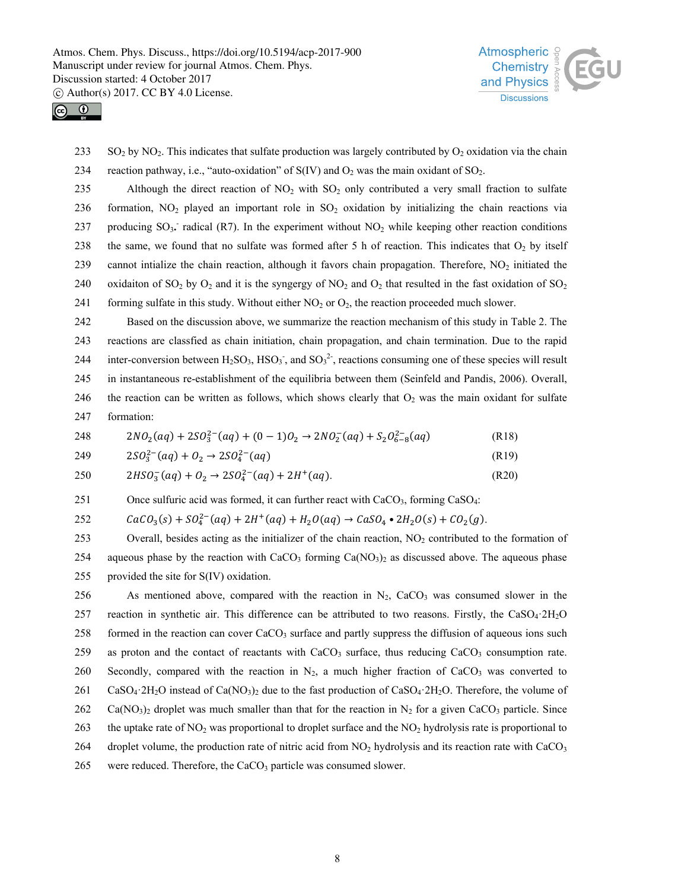



233 SO<sub>2</sub> by NO<sub>2</sub>. This indicates that sulfate production was largely contributed by O<sub>2</sub> oxidation via the chain 234 reaction pathway, i.e., "auto-oxidation" of  $S(IV)$  and  $O_2$  was the main oxidant of  $SO_2$ .

235 Although the direct reaction of  $NO_2$  with  $SO_2$  only contributed a very small fraction to sulfate 236 formation,  $NO<sub>2</sub>$  played an important role in  $SO<sub>2</sub>$  oxidation by initializing the chain reactions via 237 producing  $SO_3$  radical (R7). In the experiment without  $NO_2$  while keeping other reaction conditions 238 the same, we found that no sulfate was formed after 5 h of reaction. This indicates that  $O_2$  by itself 239 cannot intialize the chain reaction, although it favors chain propagation. Therefore, NO2 initiated the 240 oxidation of SO<sub>2</sub> by O<sub>2</sub> and it is the syngergy of NO<sub>2</sub> and O<sub>2</sub> that resulted in the fast oxidation of SO<sub>2</sub> 241 forming sulfate in this study. Without either  $NO<sub>2</sub>$  or  $O<sub>2</sub>$ , the reaction proceeded much slower.

242 Based on the discussion above, we summarize the reaction mechanism of this study in Table 2. The 243 reactions are classfied as chain initiation, chain propagation, and chain termination. Due to the rapid 244 inter-conversion between  $H_2SO_3$ ,  $HSO_3$ , and  $SO_3^2$ , reactions consuming one of these species will result 245 in instantaneous re-establishment of the equilibria between them (Seinfeld and Pandis, 2006). Overall, 246 the reaction can be written as follows, which shows clearly that  $O<sub>2</sub>$  was the main oxidant for sulfate 247 formation:

248  $2N O_2(aq) + 2SO_3^{2-}(aq) + (0-1)O_2 \rightarrow 2NO_2^-(aq) + S_2O_{6-8}^{2-}(aq)$  (R18)

249 
$$
2SO_3^{2-}(aq) + O_2 \rightarrow 2SO_4^{2-}(aq)
$$
 (R19)

$$
2HSO_3^-(aq) + O_2 \to 2SO_4^{2-}(aq) + 2H^+(aq).
$$
 (R20)

251 Once sulfuric acid was formed, it can further react with CaCO<sub>3</sub>, forming CaSO<sub>4</sub>:

252  $CaCO_3(s) + SO_4^{2-}(aq) + 2H^+(aq) + H_2O(aq) \rightarrow CaSO_4 \cdot 2H_2O(s) + CO_2(g)$ .

253 Overall, besides acting as the initializer of the chain reaction,  $NO<sub>2</sub>$  contributed to the formation of 254 aqueous phase by the reaction with  $CaCO<sub>3</sub>$  forming  $Ca(NO<sub>3</sub>)<sub>2</sub>$  as discussed above. The aqueous phase 255 provided the site for S(IV) oxidation.

256 As mentioned above, compared with the reaction in  $N_2$ , CaCO<sub>3</sub> was consumed slower in the 257 reaction in synthetic air. This difference can be attributed to two reasons. Firstly, the CaSO4·2H2O 258 formed in the reaction can cover CaCO<sub>3</sub> surface and partly suppress the diffusion of aqueous ions such 259 as proton and the contact of reactants with CaCO<sub>3</sub> surface, thus reducing CaCO<sub>3</sub> consumption rate. 260 Secondly, compared with the reaction in  $N_2$ , a much higher fraction of CaCO<sub>3</sub> was converted to  $261$  CaSO<sub>4</sub>·2H<sub>2</sub>O instead of Ca(NO<sub>3</sub>)<sub>2</sub> due to the fast production of CaSO<sub>4</sub>·2H<sub>2</sub>O. Therefore, the volume of 262 Ca(NO<sub>3</sub>)<sub>2</sub> droplet was much smaller than that for the reaction in N<sub>2</sub> for a given CaCO<sub>3</sub> particle. Since 263 the uptake rate of NO<sub>2</sub> was proportional to droplet surface and the NO<sub>2</sub> hydrolysis rate is proportional to 264 droplet volume, the production rate of nitric acid from  $NO<sub>2</sub>$  hydrolysis and its reaction rate with CaCO<sub>3</sub> 265 were reduced. Therefore, the CaCO<sub>3</sub> particle was consumed slower.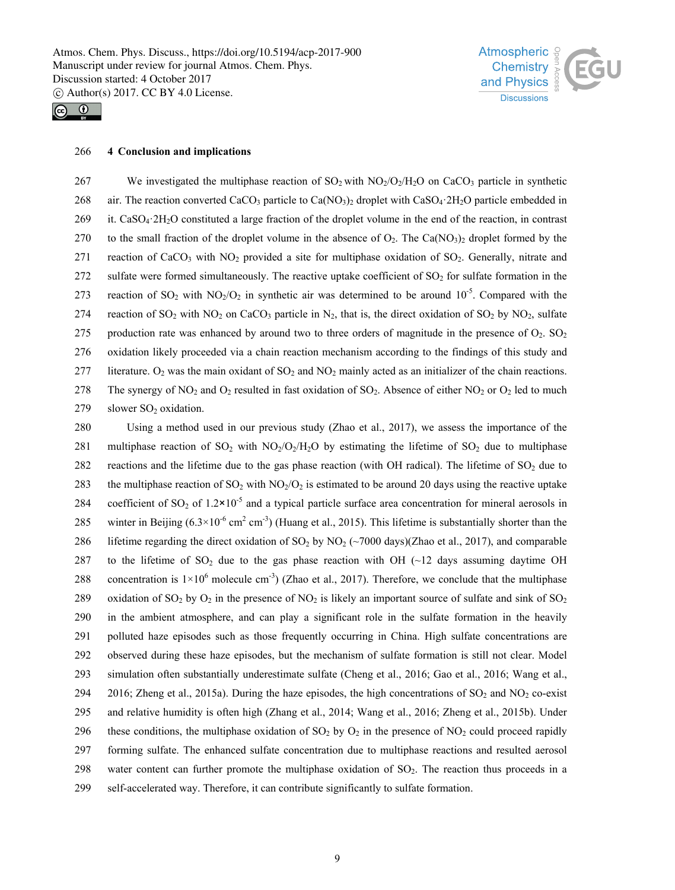



#### 266 **4 Conclusion and implications**

267 We investigated the multiphase reaction of SO<sub>2</sub> with NO<sub>2</sub>/O<sub>2</sub>/H<sub>2</sub>O on CaCO<sub>3</sub> particle in synthetic 268 air. The reaction converted CaCO<sub>3</sub> particle to Ca(NO<sub>3</sub>)<sub>2</sub> droplet with CaSO<sub>4</sub>·2H<sub>2</sub>O particle embedded in 269 it. CaSO<sub>4</sub>·2H<sub>2</sub>O constituted a large fraction of the droplet volume in the end of the reaction, in contrast 270 to the small fraction of the droplet volume in the absence of  $O_2$ . The Ca(NO<sub>3</sub>)<sub>2</sub> droplet formed by the 271 reaction of CaCO<sub>3</sub> with NO<sub>2</sub> provided a site for multiphase oxidation of SO<sub>2</sub>. Generally, nitrate and 272 sulfate were formed simultaneously. The reactive uptake coefficient of SO<sub>2</sub> for sulfate formation in the 273 reaction of SO<sub>2</sub> with NO<sub>2</sub>/O<sub>2</sub> in synthetic air was determined to be around 10<sup>-5</sup>. Compared with the 274 reaction of  $SO_2$  with  $NO_2$  on CaCO<sub>3</sub> particle in N<sub>2</sub>, that is, the direct oxidation of  $SO_2$  by  $NO_2$ , sulfate 275 production rate was enhanced by around two to three orders of magnitude in the presence of  $O_2$ . SO<sub>2</sub> 276 oxidation likely proceeded via a chain reaction mechanism according to the findings of this study and 277 literature. O<sub>2</sub> was the main oxidant of  $SO_2$  and  $NO_2$  mainly acted as an initializer of the chain reactions. 278 The synergy of NO<sub>2</sub> and O<sub>2</sub> resulted in fast oxidation of SO<sub>2</sub>. Absence of either NO<sub>2</sub> or O<sub>2</sub> led to much 279 slower  $SO<sub>2</sub>$  oxidation.

280 Using a method used in our previous study (Zhao et al., 2017), we assess the importance of the 281 multiphase reaction of  $SO_2$  with  $NO_2/O_2/H_2O$  by estimating the lifetime of  $SO_2$  due to multiphase 282 reactions and the lifetime due to the gas phase reaction (with OH radical). The lifetime of SO<sub>2</sub> due to 283 the multiphase reaction of  $SO_2$  with  $NO_2/O_2$  is estimated to be around 20 days using the reactive uptake 284 coefficient of SO<sub>2</sub> of  $1.2 \times 10^{-5}$  and a typical particle surface area concentration for mineral aerosols in 285 winter in Beijing  $(6.3 \times 10^{-6} \text{ cm}^2 \text{ cm}^3)$  (Huang et al., 2015). This lifetime is substantially shorter than the 286 lifetime regarding the direct oxidation of  $SO_2$  by  $NO_2$  (~7000 days)(Zhao et al., 2017), and comparable 287 to the lifetime of  $SO_2$  due to the gas phase reaction with OH (~12 days assuming daytime OH 288 concentration is  $1 \times 10^6$  molecule cm<sup>-3</sup>) (Zhao et al., 2017). Therefore, we conclude that the multiphase 289 oxidation of SO<sub>2</sub> by O<sub>2</sub> in the presence of NO<sub>2</sub> is likely an important source of sulfate and sink of SO<sub>2</sub> 290 in the ambient atmosphere, and can play a significant role in the sulfate formation in the heavily 291 polluted haze episodes such as those frequently occurring in China. High sulfate concentrations are 292 observed during these haze episodes, but the mechanism of sulfate formation is still not clear. Model 293 simulation often substantially underestimate sulfate (Cheng et al., 2016; Gao et al., 2016; Wang et al., 294 2016; Zheng et al., 2015a). During the haze episodes, the high concentrations of  $SO_2$  and  $NO_2$  co-exist 295 and relative humidity is often high (Zhang et al., 2014; Wang et al., 2016; Zheng et al., 2015b). Under 296 these conditions, the multiphase oxidation of  $SO_2$  by  $O_2$  in the presence of  $NO_2$  could proceed rapidly 297 forming sulfate. The enhanced sulfate concentration due to multiphase reactions and resulted aerosol 298 water content can further promote the multiphase oxidation of  $SO<sub>2</sub>$ . The reaction thus proceeds in a 299 self-accelerated way. Therefore, it can contribute significantly to sulfate formation.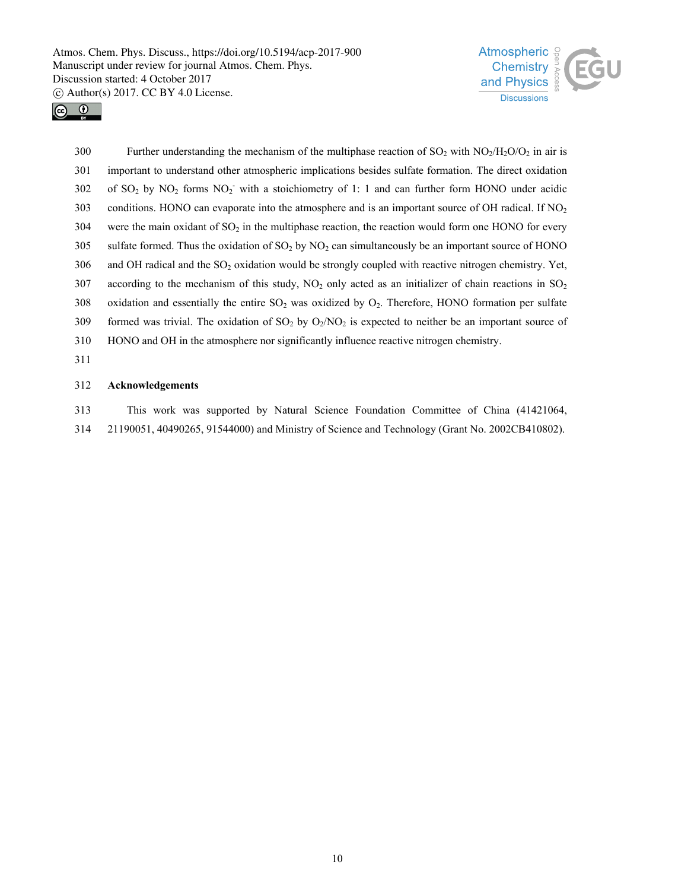



300 Further understanding the mechanism of the multiphase reaction of  $SO_2$  with  $NO_2/H_2O/O_2$  in air is 301 important to understand other atmospheric implications besides sulfate formation. The direct oxidation 302 of SO<sub>2</sub> by NO<sub>2</sub> forms NO<sub>2</sub> with a stoichiometry of 1: 1 and can further form HONO under acidic 303 conditions. HONO can evaporate into the atmosphere and is an important source of OH radical. If NO<sub>2</sub>  $304$  were the main oxidant of SO<sub>2</sub> in the multiphase reaction, the reaction would form one HONO for every 305 sulfate formed. Thus the oxidation of  $SO_2$  by  $NO_2$  can simultaneously be an important source of HONO 306 and OH radical and the SO<sub>2</sub> oxidation would be strongly coupled with reactive nitrogen chemistry. Yet, 307 according to the mechanism of this study,  $NO<sub>2</sub>$  only acted as an initializer of chain reactions in  $SO<sub>2</sub>$ 308 oxidation and essentially the entire  $SO_2$  was oxidized by  $O_2$ . Therefore, HONO formation per sulfate 309 formed was trivial. The oxidation of  $SO_2$  by  $O_2/NO_2$  is expected to neither be an important source of 310 HONO and OH in the atmosphere nor significantly influence reactive nitrogen chemistry. 311

#### 312 **Acknowledgements**

313 This work was supported by Natural Science Foundation Committee of China (41421064, 314 21190051, 40490265, 91544000) and Ministry of Science and Technology (Grant No. 2002CB410802).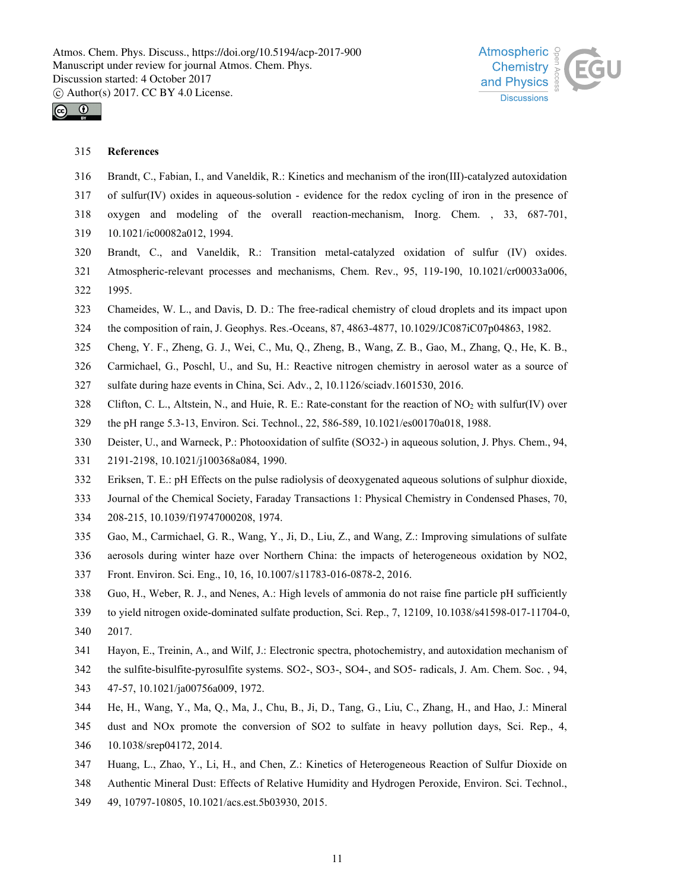



## 315 **References**

- 316 Brandt, C., Fabian, I., and Vaneldik, R.: Kinetics and mechanism of the iron(III)-catalyzed autoxidation
- 317 of sulfur(IV) oxides in aqueous-solution evidence for the redox cycling of iron in the presence of
- 318 oxygen and modeling of the overall reaction-mechanism, Inorg. Chem. , 33, 687-701,
- 319 10.1021/ic00082a012, 1994.
- 320 Brandt, C., and Vaneldik, R.: Transition metal-catalyzed oxidation of sulfur (IV) oxides.
- 321 Atmospheric-relevant processes and mechanisms, Chem. Rev., 95, 119-190, 10.1021/cr00033a006, 322 1995.
- 323 Chameides, W. L., and Davis, D. D.: The free-radical chemistry of cloud droplets and its impact upon
- 324 the composition of rain, J. Geophys. Res.-Oceans, 87, 4863-4877, 10.1029/JC087iC07p04863, 1982.
- 325 Cheng, Y. F., Zheng, G. J., Wei, C., Mu, Q., Zheng, B., Wang, Z. B., Gao, M., Zhang, Q., He, K. B.,
- 326 Carmichael, G., Poschl, U., and Su, H.: Reactive nitrogen chemistry in aerosol water as a source of
- 327 sulfate during haze events in China, Sci. Adv., 2, 10.1126/sciadv.1601530, 2016.
- 328 Clifton, C. L., Altstein, N., and Huie, R. E.: Rate-constant for the reaction of NO<sub>2</sub> with sulfur(IV) over
- 329 the pH range 5.3-13, Environ. Sci. Technol., 22, 586-589, 10.1021/es00170a018, 1988.
- 330 Deister, U., and Warneck, P.: Photooxidation of sulfite (SO32-) in aqueous solution, J. Phys. Chem., 94,
- 331 2191-2198, 10.1021/j100368a084, 1990.
- 332 Eriksen, T. E.: pH Effects on the pulse radiolysis of deoxygenated aqueous solutions of sulphur dioxide,
- 333 Journal of the Chemical Society, Faraday Transactions 1: Physical Chemistry in Condensed Phases, 70,
- 334 208-215, 10.1039/f19747000208, 1974.
- 335 Gao, M., Carmichael, G. R., Wang, Y., Ji, D., Liu, Z., and Wang, Z.: Improving simulations of sulfate
- 336 aerosols during winter haze over Northern China: the impacts of heterogeneous oxidation by NO2,
- 337 Front. Environ. Sci. Eng., 10, 16, 10.1007/s11783-016-0878-2, 2016.
- 338 Guo, H., Weber, R. J., and Nenes, A.: High levels of ammonia do not raise fine particle pH sufficiently
- 339 to yield nitrogen oxide-dominated sulfate production, Sci. Rep., 7, 12109, 10.1038/s41598-017-11704-0,
- 340 2017.
- 341 Hayon, E., Treinin, A., and Wilf, J.: Electronic spectra, photochemistry, and autoxidation mechanism of
- 342 the sulfite-bisulfite-pyrosulfite systems. SO2-, SO3-, SO4-, and SO5- radicals, J. Am. Chem. Soc. , 94,
- 343 47-57, 10.1021/ja00756a009, 1972.
- 344 He, H., Wang, Y., Ma, Q., Ma, J., Chu, B., Ji, D., Tang, G., Liu, C., Zhang, H., and Hao, J.: Mineral
- 345 dust and NOx promote the conversion of SO2 to sulfate in heavy pollution days, Sci. Rep., 4,
- 346 10.1038/srep04172, 2014.
- 347 Huang, L., Zhao, Y., Li, H., and Chen, Z.: Kinetics of Heterogeneous Reaction of Sulfur Dioxide on
- 348 Authentic Mineral Dust: Effects of Relative Humidity and Hydrogen Peroxide, Environ. Sci. Technol.,
- 349 49, 10797-10805, 10.1021/acs.est.5b03930, 2015.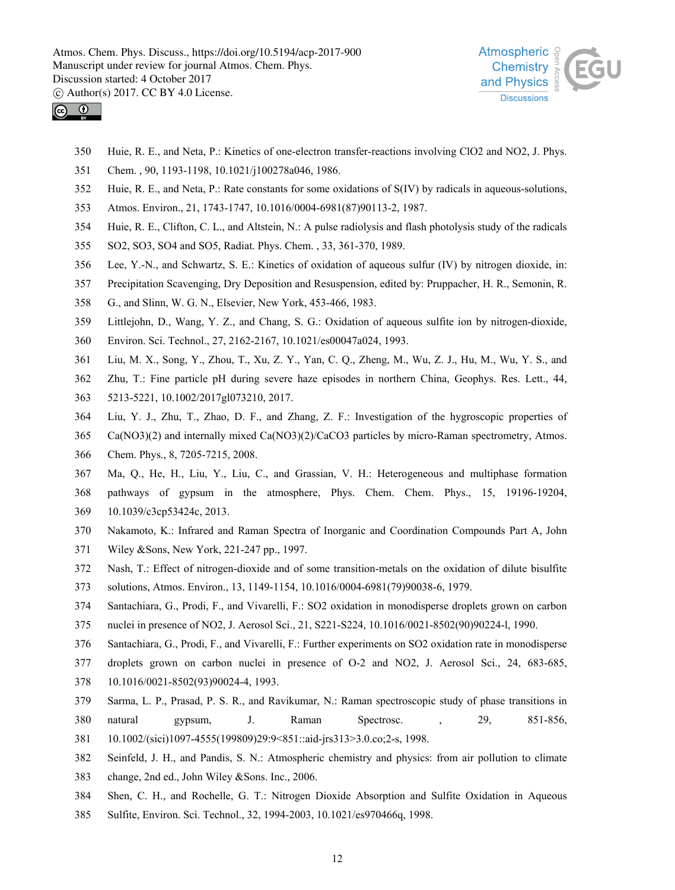



- 350 Huie, R. E., and Neta, P.: Kinetics of one-electron transfer-reactions involving ClO2 and NO2, J. Phys.
- 351 Chem. , 90, 1193-1198, 10.1021/j100278a046, 1986.
- 352 Huie, R. E., and Neta, P.: Rate constants for some oxidations of S(IV) by radicals in aqueous-solutions,
- 353 Atmos. Environ., 21, 1743-1747, 10.1016/0004-6981(87)90113-2, 1987.
- 354 Huie, R. E., Clifton, C. L., and Altstein, N.: A pulse radiolysis and flash photolysis study of the radicals
- 355 SO2, SO3, SO4 and SO5, Radiat. Phys. Chem. , 33, 361-370, 1989.
- 356 Lee, Y.-N., and Schwartz, S. E.: Kinetics of oxidation of aqueous sulfur (IV) by nitrogen dioxide, in:
- 357 Precipitation Scavenging, Dry Deposition and Resuspension, edited by: Pruppacher, H. R., Semonin, R.
- 358 G., and Slinn, W. G. N., Elsevier, New York, 453-466, 1983.
- 359 Littlejohn, D., Wang, Y. Z., and Chang, S. G.: Oxidation of aqueous sulfite ion by nitrogen-dioxide,
- 360 Environ. Sci. Technol., 27, 2162-2167, 10.1021/es00047a024, 1993.
- 361 Liu, M. X., Song, Y., Zhou, T., Xu, Z. Y., Yan, C. Q., Zheng, M., Wu, Z. J., Hu, M., Wu, Y. S., and
- 362 Zhu, T.: Fine particle pH during severe haze episodes in northern China, Geophys. Res. Lett., 44,
- 363 5213-5221, 10.1002/2017gl073210, 2017.
- 364 Liu, Y. J., Zhu, T., Zhao, D. F., and Zhang, Z. F.: Investigation of the hygroscopic properties of
- 365 Ca(NO3)(2) and internally mixed Ca(NO3)(2)/CaCO3 particles by micro-Raman spectrometry, Atmos.
- 366 Chem. Phys., 8, 7205-7215, 2008.
- 367 Ma, Q., He, H., Liu, Y., Liu, C., and Grassian, V. H.: Heterogeneous and multiphase formation 368 pathways of gypsum in the atmosphere, Phys. Chem. Chem. Phys., 15, 19196-19204, 369 10.1039/c3cp53424c, 2013.
- 370 Nakamoto, K.: Infrared and Raman Spectra of Inorganic and Coordination Compounds Part A, John
- 371 Wiley &Sons, New York, 221-247 pp., 1997.
- 372 Nash, T.: Effect of nitrogen-dioxide and of some transition-metals on the oxidation of dilute bisulfite
- 373 solutions, Atmos. Environ., 13, 1149-1154, 10.1016/0004-6981(79)90038-6, 1979.
- 374 Santachiara, G., Prodi, F., and Vivarelli, F.: SO2 oxidation in monodisperse droplets grown on carbon
- 375 nuclei in presence of NO2, J. Aerosol Sci., 21, S221-S224, 10.1016/0021-8502(90)90224-l, 1990.
- 376 Santachiara, G., Prodi, F., and Vivarelli, F.: Further experiments on SO2 oxidation rate in monodisperse
- 377 droplets grown on carbon nuclei in presence of O-2 and NO2, J. Aerosol Sci., 24, 683-685,
- 378 10.1016/0021-8502(93)90024-4, 1993.
- 379 Sarma, L. P., Prasad, P. S. R., and Ravikumar, N.: Raman spectroscopic study of phase transitions in
- 380 natural gypsum, J. Raman Spectrosc. , 29, 851-856,
- 381 10.1002/(sici)1097-4555(199809)29:9<851::aid-jrs313>3.0.co;2-s, 1998.
- 382 Seinfeld, J. H., and Pandis, S. N.: Atmospheric chemistry and physics: from air pollution to climate
- 383 change, 2nd ed., John Wiley &Sons. Inc., 2006.
- 384 Shen, C. H., and Rochelle, G. T.: Nitrogen Dioxide Absorption and Sulfite Oxidation in Aqueous
- 385 Sulfite, Environ. Sci. Technol., 32, 1994-2003, 10.1021/es970466q, 1998.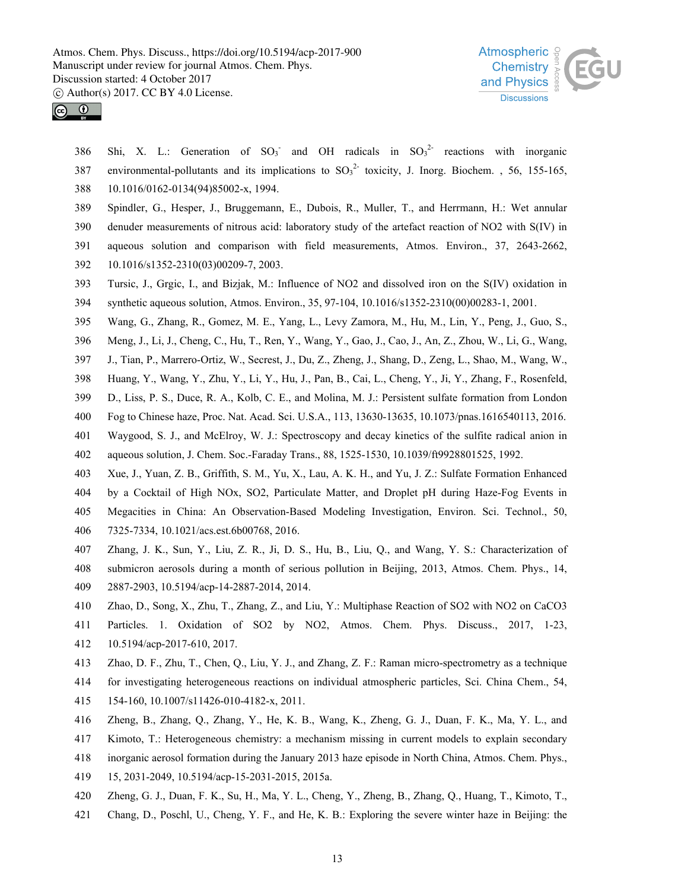



386 Shi, X. L.: Generation of  $SO_3^-$  and OH radicals in  $SO_3^{2-}$  reactions with inorganic 387 environmental-pollutants and its implications to  $SO_3^2$  toxicity, J. Inorg. Biochem. , 56, 155-165, 388 10.1016/0162-0134(94)85002-x, 1994.

- 389 Spindler, G., Hesper, J., Bruggemann, E., Dubois, R., Muller, T., and Herrmann, H.: Wet annular
- 390 denuder measurements of nitrous acid: laboratory study of the artefact reaction of NO2 with S(IV) in
- 391 aqueous solution and comparison with field measurements, Atmos. Environ., 37, 2643-2662,
- 392 10.1016/s1352-2310(03)00209-7, 2003.
- 393 Tursic, J., Grgic, I., and Bizjak, M.: Influence of NO2 and dissolved iron on the S(IV) oxidation in
- 394 synthetic aqueous solution, Atmos. Environ., 35, 97-104, 10.1016/s1352-2310(00)00283-1, 2001.
- 395 Wang, G., Zhang, R., Gomez, M. E., Yang, L., Levy Zamora, M., Hu, M., Lin, Y., Peng, J., Guo, S.,
- 396 Meng, J., Li, J., Cheng, C., Hu, T., Ren, Y., Wang, Y., Gao, J., Cao, J., An, Z., Zhou, W., Li, G., Wang,
- 397 J., Tian, P., Marrero-Ortiz, W., Secrest, J., Du, Z., Zheng, J., Shang, D., Zeng, L., Shao, M., Wang, W.,
- 398 Huang, Y., Wang, Y., Zhu, Y., Li, Y., Hu, J., Pan, B., Cai, L., Cheng, Y., Ji, Y., Zhang, F., Rosenfeld,
- 399 D., Liss, P. S., Duce, R. A., Kolb, C. E., and Molina, M. J.: Persistent sulfate formation from London
- 400 Fog to Chinese haze, Proc. Nat. Acad. Sci. U.S.A., 113, 13630-13635, 10.1073/pnas.1616540113, 2016.
- 401 Waygood, S. J., and McElroy, W. J.: Spectroscopy and decay kinetics of the sulfite radical anion in
- 402 aqueous solution, J. Chem. Soc.-Faraday Trans., 88, 1525-1530, 10.1039/ft9928801525, 1992.
- 403 Xue, J., Yuan, Z. B., Griffith, S. M., Yu, X., Lau, A. K. H., and Yu, J. Z.: Sulfate Formation Enhanced
- 404 by a Cocktail of High NOx, SO2, Particulate Matter, and Droplet pH during Haze-Fog Events in
- 405 Megacities in China: An Observation-Based Modeling Investigation, Environ. Sci. Technol., 50, 406 7325-7334, 10.1021/acs.est.6b00768, 2016.
- 407 Zhang, J. K., Sun, Y., Liu, Z. R., Ji, D. S., Hu, B., Liu, Q., and Wang, Y. S.: Characterization of
- 408 submicron aerosols during a month of serious pollution in Beijing, 2013, Atmos. Chem. Phys., 14, 409 2887-2903, 10.5194/acp-14-2887-2014, 2014.
- 410 Zhao, D., Song, X., Zhu, T., Zhang, Z., and Liu, Y.: Multiphase Reaction of SO2 with NO2 on CaCO3
- 411 Particles. 1. Oxidation of SO2 by NO2, Atmos. Chem. Phys. Discuss., 2017, 1-23, 412 10.5194/acp-2017-610, 2017.
- 413 Zhao, D. F., Zhu, T., Chen, Q., Liu, Y. J., and Zhang, Z. F.: Raman micro-spectrometry as a technique
- 414 for investigating heterogeneous reactions on individual atmospheric particles, Sci. China Chem., 54,
- 415 154-160, 10.1007/s11426-010-4182-x, 2011.
- 416 Zheng, B., Zhang, Q., Zhang, Y., He, K. B., Wang, K., Zheng, G. J., Duan, F. K., Ma, Y. L., and
- 417 Kimoto, T.: Heterogeneous chemistry: a mechanism missing in current models to explain secondary
- 418 inorganic aerosol formation during the January 2013 haze episode in North China, Atmos. Chem. Phys.,
- 419 15, 2031-2049, 10.5194/acp-15-2031-2015, 2015a.
- 420 Zheng, G. J., Duan, F. K., Su, H., Ma, Y. L., Cheng, Y., Zheng, B., Zhang, Q., Huang, T., Kimoto, T.,
- 421 Chang, D., Poschl, U., Cheng, Y. F., and He, K. B.: Exploring the severe winter haze in Beijing: the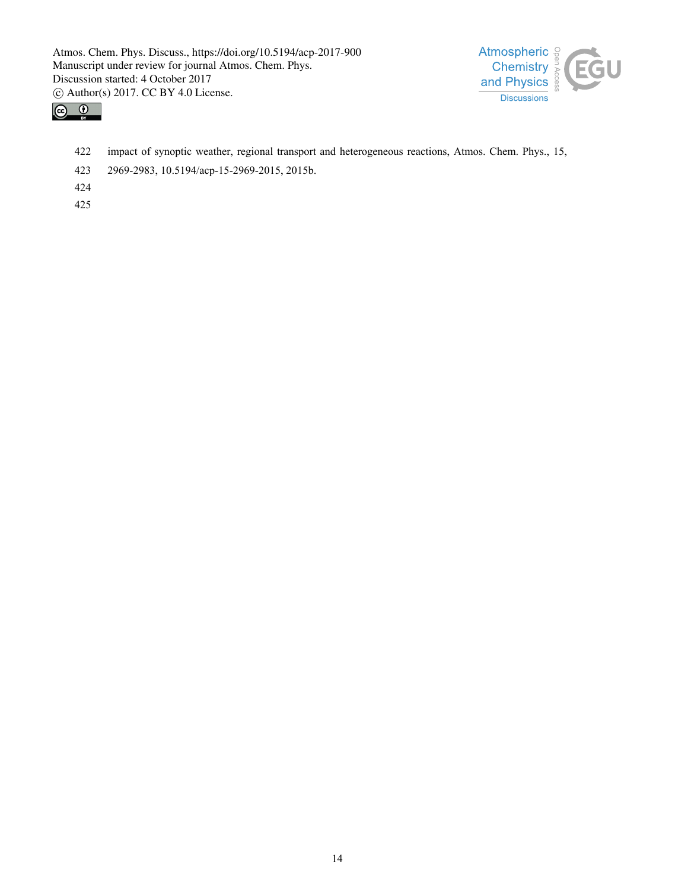



- 422 impact of synoptic weather, regional transport and heterogeneous reactions, Atmos. Chem. Phys., 15,
- 423 2969-2983, 10.5194/acp-15-2969-2015, 2015b.
- 424
- 425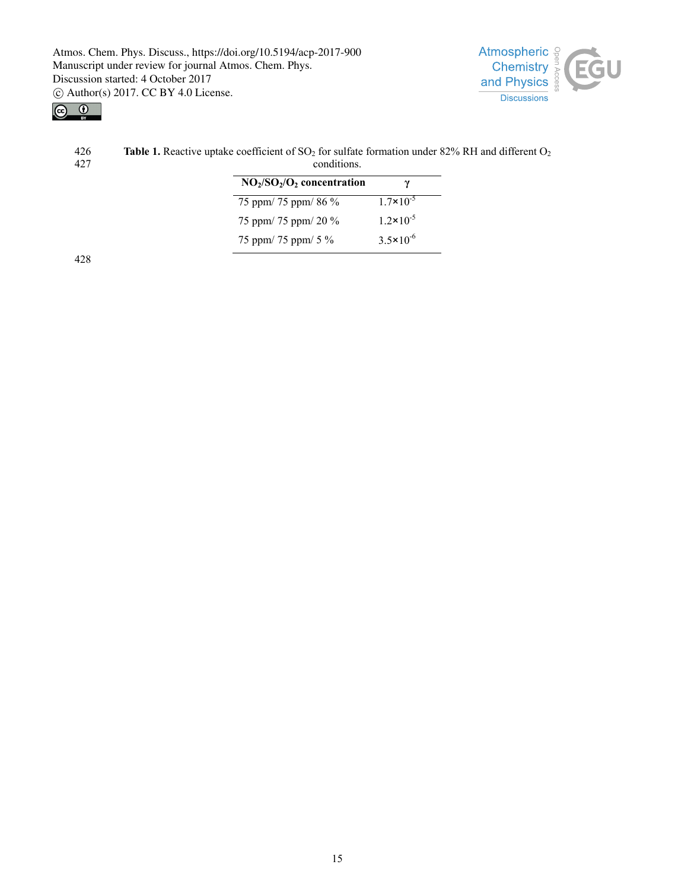



| 426  | <b>Table 1.</b> Reactive uptake coefficient of SO <sub>2</sub> for sulfate formation under 82% RH and different $O_2$ |  |  |  |
|------|-----------------------------------------------------------------------------------------------------------------------|--|--|--|
| -427 | conditions.                                                                                                           |  |  |  |
|      | $NO2/SO2/O2$ concentration                                                                                            |  |  |  |

| 75 ppm/ 75 ppm/ 86 % | $1.7 \times 10^{-5}$ |
|----------------------|----------------------|
| 75 ppm/ 75 ppm/ 20 % | $1.2 \times 10^{-5}$ |
| 75 ppm/ 75 ppm/ 5 %  | $3.5 \times 10^{-6}$ |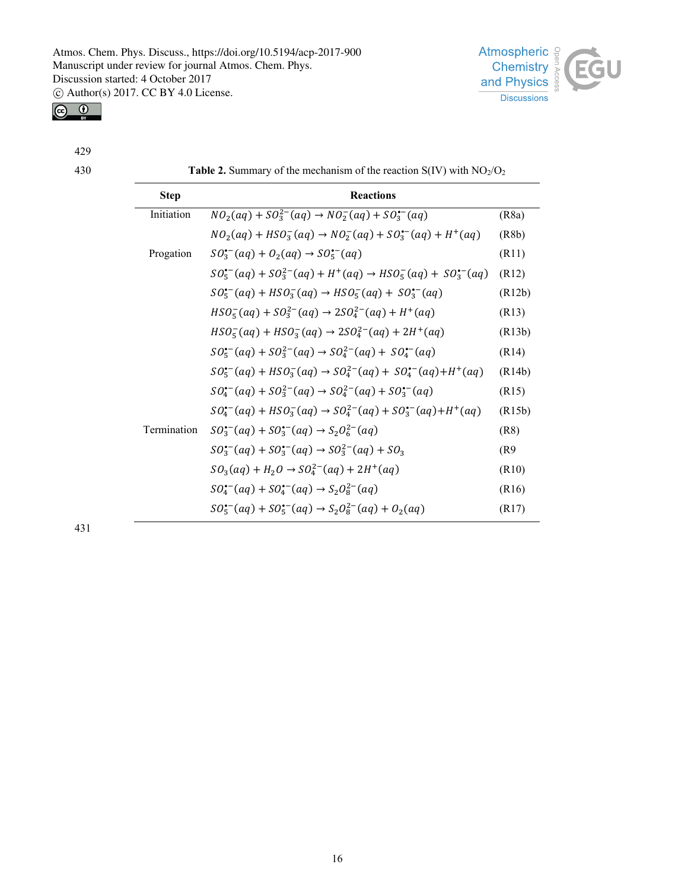

429

430 **Table 2.** Summary of the mechanism of the reaction  $S(IV)$  with  $NO<sub>2</sub>/O<sub>2</sub>$ 

**Atmospheric** 

**Chemistry** and Physics **Discussions** 

Н

| <b>Step</b> | <b>Reactions</b>                                                                      |        |
|-------------|---------------------------------------------------------------------------------------|--------|
| Initiation  | $NO_2(aq) + SO_3^{2-}(aq) \rightarrow NO_2^-(aq) + SO_3^{(-)}(aq)$                    | (R8a)  |
|             | $NO_2(aq) + HSO_3^-(aq) \rightarrow NO_2^-(aq) + SO_3^{(-)}(aq) + H^+(aq)$            | (R8b)  |
| Progation   | $SO_3^{(-)}(aq) + O_2(aq) \rightarrow SO_5^{(-)}(aq)$                                 | (R11)  |
|             | $SO_5^{(-)}(aq) + SO_3^{2-}(aq) + H^+(aq) \rightarrow HSO_5^-(aq) + SO_3^{(-)}(aq)$   | (R12)  |
|             | $SO_5^{\bullet-}(aq) + HSO_3^-(aq) \rightarrow HSO_5^-(aq) + SO_3^{\bullet-}(aq)$     | (R12b) |
|             | $HSO_5^-(aq) + SO_3^{2-}(aq) \rightarrow 2SO_4^{2-}(aq) + H^+(aq)$                    | (R13)  |
|             | $HSO_5^-(aq) + HSO_3^-(aq) \rightarrow 2SO_4^{2-}(aq) + 2H^+(aq)$                     | (R13b) |
|             | $SO_5^{(-)}(aq) + SO_3^{2-}(aq) \rightarrow SO_4^{2-}(aq) + SO_4^{(-)}(aq)$           | (R14)  |
|             | $SO_5^{(-)}(aq) + HSO_3^{-}(aq) \rightarrow SO_4^{2-}(aq) + SO_4^{(-)}(aq) + H^+(aq)$ | (R14b) |
|             | $SO_4^{\bullet-}(aq) + SO_3^{2-}(aq) \rightarrow SO_4^{2-}(aq) + SO_3^{\bullet-}(aq)$ | (R15)  |
|             | $SO_4^{(-)}(aq) + HSO_3^-(aq) \rightarrow SO_4^{2-}(aq) + SO_3^{(-)}(aq) + H^+(aq)$   | (R15b) |
| Termination | $SO_3^{(-)}(aq) + SO_3^{(-)}(aq) \rightarrow S_2O_6^{2-}(aq)$                         | (R8)   |
|             | $SO_3^{(-)}(aq) + SO_3^{(-)}(aq) \rightarrow SO_3^{2-}(aq) + SO_3$                    | (R9)   |
|             | $SO_3(aq) + H_2O \rightarrow SO_4^{2-}(aq) + 2H^+(aq)$                                | (R10)  |
|             | $SO_4^{\bullet-}(aq) + SO_4^{\bullet-}(aq) \rightarrow S_2O_8^{2-}(aq)$               | (R16)  |
|             | $SO_5^{(-)}(aq) + SO_5^{(-)}(aq) \rightarrow S_2O_8^{2-}(aq) + O_2(aq)$               | (R17)  |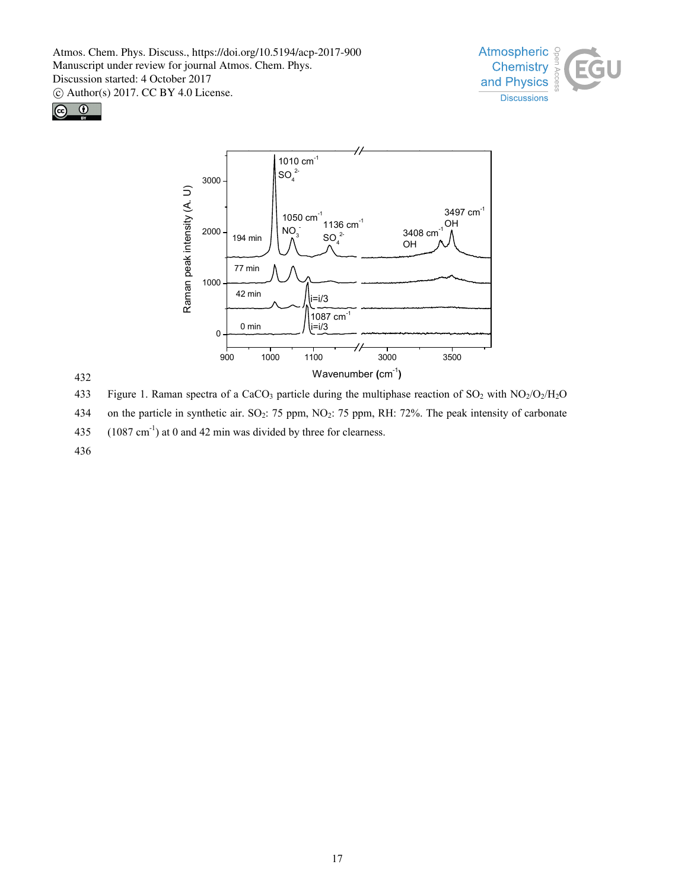





432

433 Figure 1. Raman spectra of a CaCO<sub>3</sub> particle during the multiphase reaction of  $SO_2$  with  $NO_2/O_2/H_2O$ 434 on the particle in synthetic air. SO<sub>2</sub>: 75 ppm, NO<sub>2</sub>: 75 ppm, RH: 72%. The peak intensity of carbonate

435  $(1087 \text{ cm}^{-1})$  at 0 and 42 min was divided by three for clearness.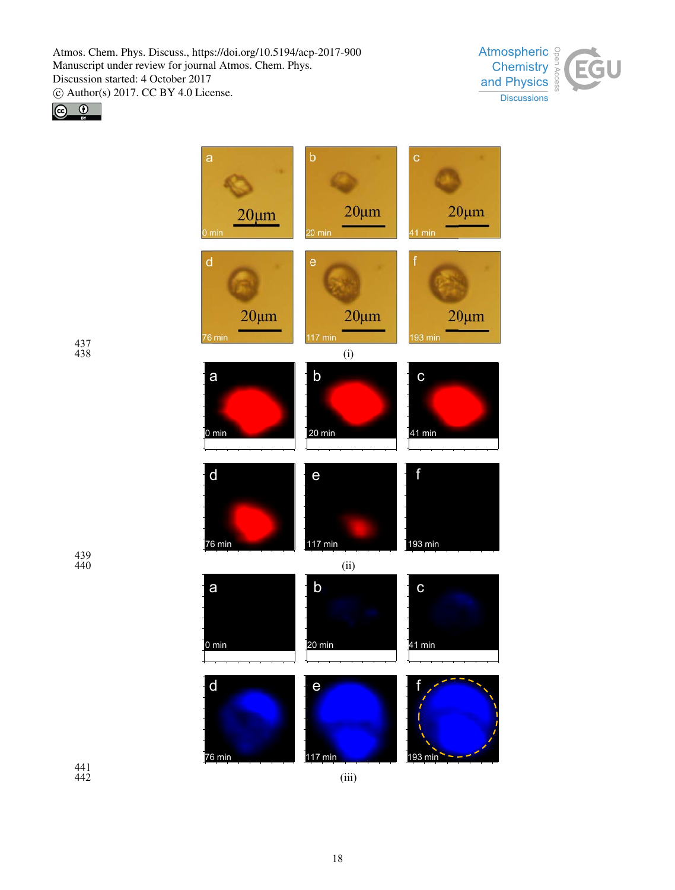





437 438

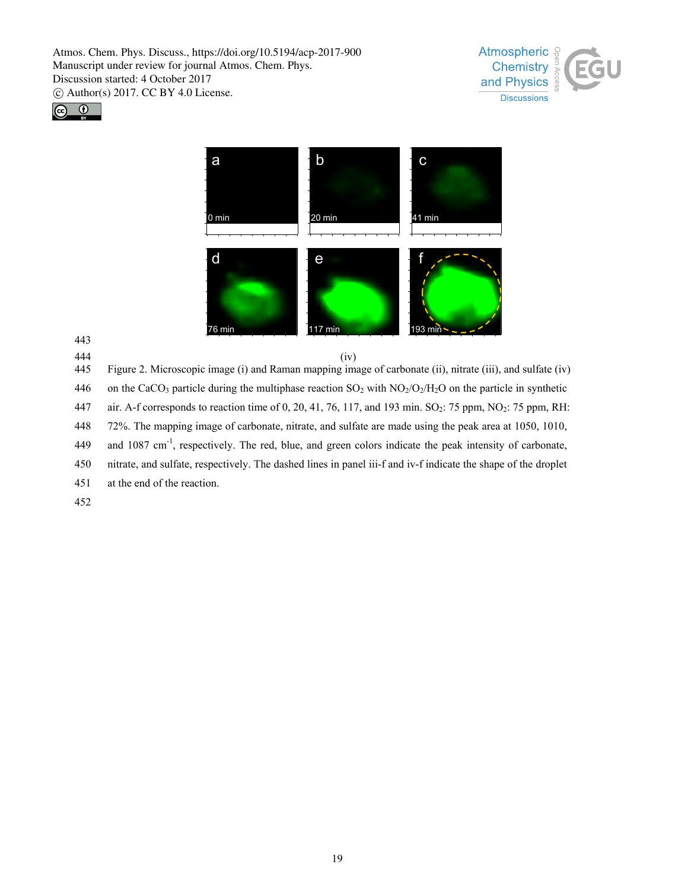Manuscript under review for journal Atmos. Chem. Phys. Discussion started: 4 October 2017 c Author(s) 2017. CC BY 4.0 License.







443

445 Figure 2. Microscopic image (i) and Raman mapping image of carbonate (ii), nitrate (iii), and sulfate (iv) 446 on the CaCO<sub>3</sub> particle during the multiphase reaction  $SO_2$  with  $NO_2/O_2/H_2O$  on the particle in synthetic 447 air. A-f corresponds to reaction time of 0, 20, 41, 76, 117, and 193 min.  $SO_2$ : 75 ppm, NO<sub>2</sub>: 75 ppm, RH: 448 72%. The mapping image of carbonate, nitrate, and sulfate are made using the peak area at 1050, 1010, 449 and 1087 cm<sup>-1</sup>, respectively. The red, blue, and green colors indicate the peak intensity of carbonate, 450 nitrate, and sulfate, respectively. The dashed lines in panel iii-f and iv-f indicate the shape of the droplet 451 at the end of the reaction.